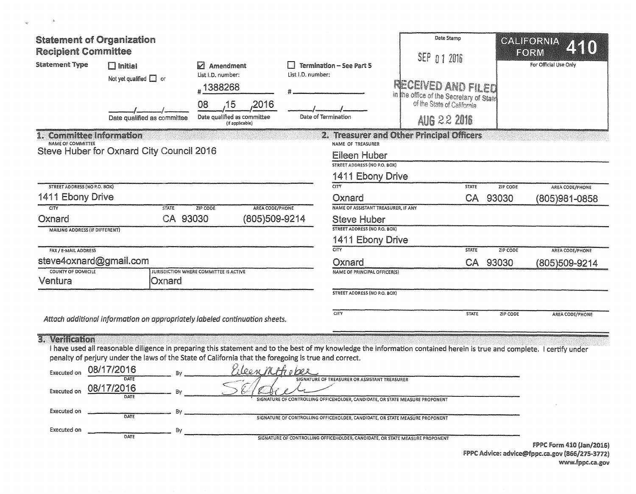| <b>Statement of Organization</b><br><b>Recipient Committee</b>                                                         |                                                                                                      |                                                                     |                                                                                                                                                                         | Date Stamp<br>SEP 0 1 2016                                                                  |                 | CALIFORNIA<br>FORM    |
|------------------------------------------------------------------------------------------------------------------------|------------------------------------------------------------------------------------------------------|---------------------------------------------------------------------|-------------------------------------------------------------------------------------------------------------------------------------------------------------------------|---------------------------------------------------------------------------------------------|-----------------|-----------------------|
| <b>Statement Type</b>                                                                                                  | $\Box$ Initial<br>Not yet qualified $\Box$ or                                                        | $\boxtimes$ Amendment<br>List I.D. number:<br>#1388268              | <b>Termination - See Part 5</b><br>List I.D. number:                                                                                                                    | RECEIVED AND FILED<br>in the office of the Secretary of State<br>of the State of California |                 | For Official Use Only |
|                                                                                                                        | Date qualified as committee                                                                          | 08<br>.2016<br>15<br>Date qualified as committee<br>(if applicable) | Date of Termination                                                                                                                                                     | <b>AUG 22 2016</b>                                                                          |                 |                       |
| <b>Committee Information</b><br>NAME OF COMMITTEE                                                                      | Steve Huber for Oxnard City Council 2016                                                             |                                                                     | NAME OF TREASURER<br><b>Eileen Huber</b><br>STREET ADDRESS (NO P.O. BOX)<br>1411 Ebony Drive                                                                            | 2. Treasurer and Other Principal Officers                                                   |                 |                       |
| <b>STREET ADDRESS (NO P.O. BOX)</b>                                                                                    |                                                                                                      |                                                                     | CITY                                                                                                                                                                    | <b>STATE</b>                                                                                | <b>ZIP CODE</b> | AREA CODE/PHONE       |
| 1411 Ebony Drive                                                                                                       |                                                                                                      |                                                                     | Oxnard                                                                                                                                                                  | CA                                                                                          | 93030           | (805)981-0858         |
| CTY<br>Oxnard<br><b>MAILING ADDRESS (IF DIFFERENT)</b><br>FAX / E-MAIL ADDRESS                                         | <b>STATE</b><br>CA 93030                                                                             | ZIP CODE<br>AREA CODE/PHONE<br>(805)509-9214                        | NAME OF ASSISTANT TREASURER, IF ANY<br><b>Steve Huber</b><br><b>STREET ADDRESS (NO P.O. BOX)</b><br>1411 Ebony Drive<br>CITY                                            | <b>STATE</b>                                                                                | ZIP CODE        | AREA CODE/PHONE       |
| steve4oxnard@gmail.com<br><b>COUNTY OF DOMICILE</b>                                                                    |                                                                                                      | <b>JURISDICTION WHERE COMMITTEE IS ACTIVE</b>                       | Oxnard                                                                                                                                                                  |                                                                                             | CA 93030        | (805)509-9214         |
| Ventura                                                                                                                | Oxnard                                                                                               |                                                                     | <b>NAME OF PRINCIPAL OFFICER(S)</b>                                                                                                                                     |                                                                                             |                 |                       |
|                                                                                                                        |                                                                                                      |                                                                     | <b>STREET ADDRESS (NO P.O. BOX)</b>                                                                                                                                     |                                                                                             |                 |                       |
| 3. Verification                                                                                                        | Attach additional information on appropriately labeled continuation sheets.                          |                                                                     | CITY                                                                                                                                                                    | <b>STATE</b>                                                                                | ZIP CODE        | AREA CODE/PHONE       |
|                                                                                                                        | penalty of perjury under the laws of the State of California that the foregoing is true and correct. |                                                                     | I have used all reasonable diligence in preparing this statement and to the best of my knowledge the information contained herein is true and complete. I certify under |                                                                                             |                 |                       |
| <b>Executed on</b>                                                                                                     | 08/17/2016<br>DATE                                                                                   | rileen Mothoper                                                     | SIGNATURE OF TREASURER OR ASSISTANT TREASURER                                                                                                                           |                                                                                             |                 |                       |
| 08/17/2016<br><b>Executed on</b><br>Bv<br>SIGNATURE OF CONTROLLING OFFICEHOLDER, CANDIDATE, OR STATE MEASURE PROPONENT |                                                                                                      |                                                                     |                                                                                                                                                                         |                                                                                             |                 |                       |
| Executed on                                                                                                            | By<br>DATE<br>SIGNATURE OF CONTROLLING OFFICEHOLDER, CANDIDATE, OR STATE MEASURE PROPONENT           |                                                                     |                                                                                                                                                                         |                                                                                             |                 |                       |
| Executed on                                                                                                            | 8v<br>DATE                                                                                           |                                                                     | SIGNATURE OF CONTROLLING OFFICEHOLDER, CANDIDATE, OR STATE MEASURE PROPONENT                                                                                            |                                                                                             |                 |                       |

 $\mathbf{z}_h$  .

 $\mathfrak{A}^m_0$ 

FPPC Form 410 (Jan/2016) FPPC Advice: advice@fppc.ca.gov (866/275-3172) www.fppc.ca.gov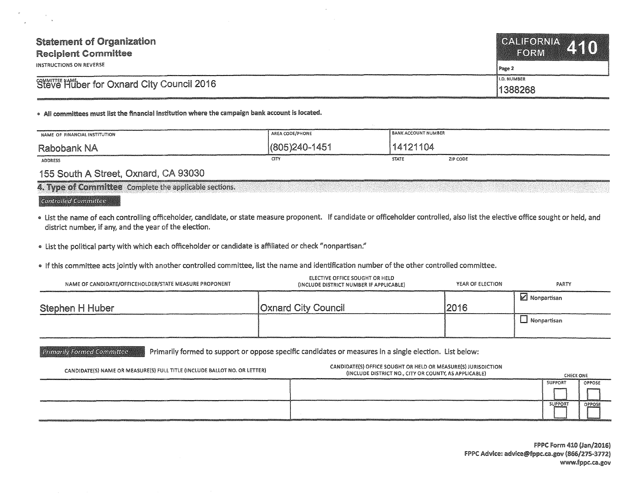| <b>Statement of Organization</b><br><b>Recipient Committee</b><br>INSTRUCTIONS ON REVERSE | CALIFORNIA 410<br><b>FORM</b><br>Page 2 |
|-------------------------------------------------------------------------------------------|-----------------------------------------|
| Steve Huber for Oxnard City Council 2016                                                  | <b>II.D. NUMBER</b>                     |
|                                                                                           | 1388268                                 |

## • All committees must list the financial Institution where the campaign bank account Is located.

| NAME OF FINANCIAL INSTITUTION | AREA CODE/PHONE  | <b>BANK ACCOUNT NUMBER</b> |          |
|-------------------------------|------------------|----------------------------|----------|
| Rabobank NA                   | (805) 240 - 1451 | 14121104                   |          |
| <b>ADDRESS</b>                | CITY             | <b>STATE</b>               | ZIP CODE |

## 155 South A Street, Oxnard, CA 93030

| 4. Type of Committee Complete the applicable sections. |  |  |
|--------------------------------------------------------|--|--|
|                                                        |  |  |

## Controlled Committee

- . List the name of each controlling officeholder, candidate, or state measure proponent. If candidate or officeholder controlled, also list the elective office sought or held, and district number, if any, and the year of the election.
- .. list the political party with which each officeholder or candidate is affiliated or check "nonpartisan:'
- .. If this committee acts jointly with another controlled committee, list the name and identification number of the other controlled committee.

| NAME OF CANDIDATE/OFFICEHOLDER/STATE MEASURE PROPONENT | ELECTIVE OFFICE SOUGHT OR HELD<br>(INCLUDE DISTRICT NUMBER IF APPLICABLE) | YEAR OF ELECTION | PARTY         |
|--------------------------------------------------------|---------------------------------------------------------------------------|------------------|---------------|
| Stephen H Huber                                        | <b>Oxnard City Council</b>                                                | 2016             | ■ Nonpartisan |
|                                                        |                                                                           |                  | l Nonpartisan |

**Primarily Formed Committee** Primarily formed to support or oppose specific candidates or measures in a single election. List below:

| CANDIDATE(S) NAME OR MEASURE(S) FULL TITLE (INCLUDE BALLOT NO. OR LETTER)                                                                                                                                                                | CANDIDATE(S) OFFICE SOUGHT OR HELD OR MEASURE(S) JURISDICTION<br>(INCLUDE DISTRICT NO., CITY OR COUNTY, AS APPLICABLE) | CHECK ONE      |               |
|------------------------------------------------------------------------------------------------------------------------------------------------------------------------------------------------------------------------------------------|------------------------------------------------------------------------------------------------------------------------|----------------|---------------|
|                                                                                                                                                                                                                                          |                                                                                                                        | <b>SUPPORT</b> | <b>OPPOSE</b> |
|                                                                                                                                                                                                                                          |                                                                                                                        |                |               |
|                                                                                                                                                                                                                                          |                                                                                                                        | <b>SUPPORT</b> | OPPOSE        |
| <b>CONTRACTORS &amp; CONTRACTORS A BING IN A BING IN A BING OF A DISCOVERY PRODUCTS AND A RELEASED AT A BING IN A RELEASED AT A BING OF A BING IN A RELEASED AT A RELEASED AT A RELEASED AT A RELEASED AT A RELEASED AT A RELEASED A</b> |                                                                                                                        |                |               |

FPPC Form 410 (Jan/2016) FPPC Advice: advice@fppc.ca.gov (866/275-3772) www.fppc.ca.gov